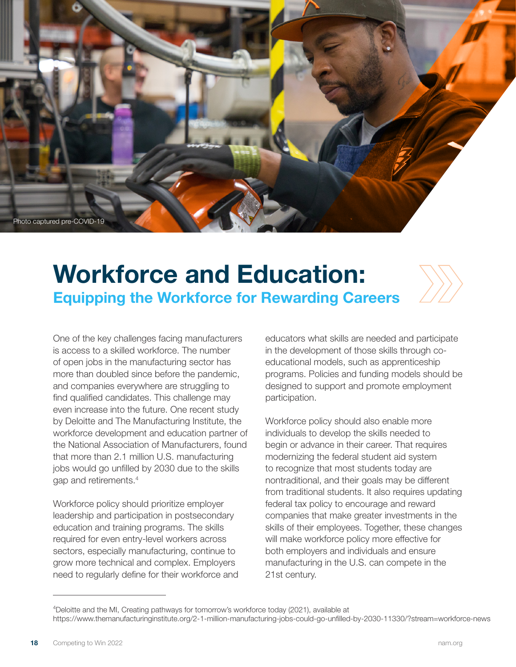

## **Workforce and Education: Equipping the Workforce for Rewarding Careers**

One of the key challenges facing manufacturers is access to a skilled workforce. The number of open jobs in the manufacturing sector has more than doubled since before the pandemic, and companies everywhere are struggling to find qualified candidates. This challenge may even increase into the future. One recent study by Deloitte and The Manufacturing Institute, the workforce development and education partner of the National Association of Manufacturers, found that more than 2.1 million U.S. manufacturing jobs would go unfilled by 2030 due to the skills gap and retirements.4

Workforce policy should prioritize employer leadership and participation in postsecondary education and training programs. The skills required for even entry-level workers across sectors, especially manufacturing, continue to grow more technical and complex. Employers need to regularly define for their workforce and educators what skills are needed and participate in the development of those skills through coeducational models, such as apprenticeship programs. Policies and funding models should be designed to support and promote employment participation.

Workforce policy should also enable more individuals to develop the skills needed to begin or advance in their career. That requires modernizing the federal student aid system to recognize that most students today are nontraditional, and their goals may be different from traditional students. It also requires updating federal tax policy to encourage and reward companies that make greater investments in the skills of their employees. Together, these changes will make workforce policy more effective for both employers and individuals and ensure manufacturing in the U.S. can compete in the 21st century.

<sup>4</sup> Deloitte and the MI, Creating pathways for tomorrow's workforce today (2021), available at https://www.themanufacturinginstitute.org/2-1-million-manufacturing-jobs-could-go-unfilled-by-2030-11330/?stream=workforce-news